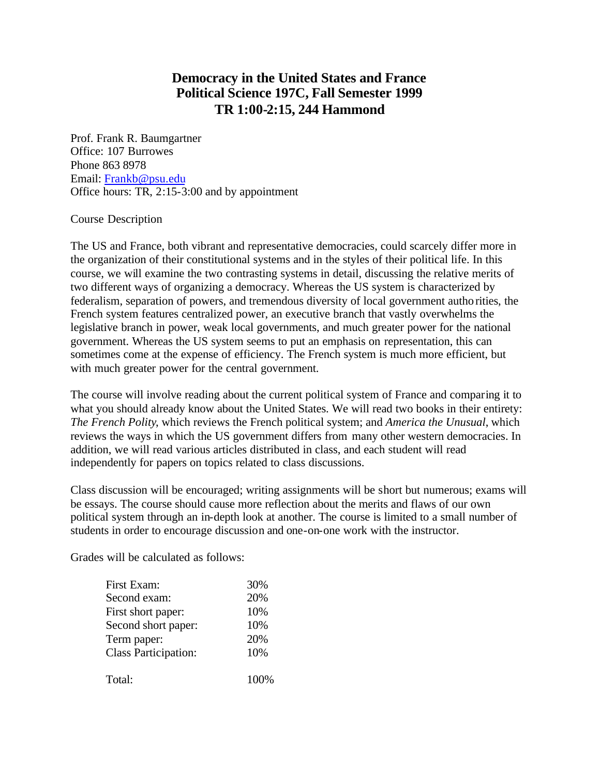## **Democracy in the United States and France Political Science 197C, Fall Semester 1999 TR 1:00-2:15, 244 Hammond**

Prof. Frank R. Baumgartner Office: 107 Burrowes Phone 863 8978 Email: Frankb@psu.edu Office hours: TR, 2:15-3:00 and by appointment

## Course Description

The US and France, both vibrant and representative democracies, could scarcely differ more in the organization of their constitutional systems and in the styles of their political life. In this course, we will examine the two contrasting systems in detail, discussing the relative merits of two different ways of organizing a democracy. Whereas the US system is characterized by federalism, separation of powers, and tremendous diversity of local government authorities, the French system features centralized power, an executive branch that vastly overwhelms the legislative branch in power, weak local governments, and much greater power for the national government. Whereas the US system seems to put an emphasis on representation, this can sometimes come at the expense of efficiency. The French system is much more efficient, but with much greater power for the central government.

The course will involve reading about the current political system of France and comparing it to what you should already know about the United States. We will read two books in their entirety: *The French Polity*, which reviews the French political system; and *America the Unusual*, which reviews the ways in which the US government differs from many other western democracies. In addition, we will read various articles distributed in class, and each student will read independently for papers on topics related to class discussions.

Class discussion will be encouraged; writing assignments will be short but numerous; exams will be essays. The course should cause more reflection about the merits and flaws of our own political system through an in-depth look at another. The course is limited to a small number of students in order to encourage discussion and one-on-one work with the instructor.

Grades will be calculated as follows:

| First Exam:                 | 30%  |
|-----------------------------|------|
| Second exam:                | 20%  |
| First short paper:          | 10%  |
| Second short paper:         | 10%  |
| Term paper:                 | 20%  |
| <b>Class Participation:</b> | 10%  |
| Total:                      | 100% |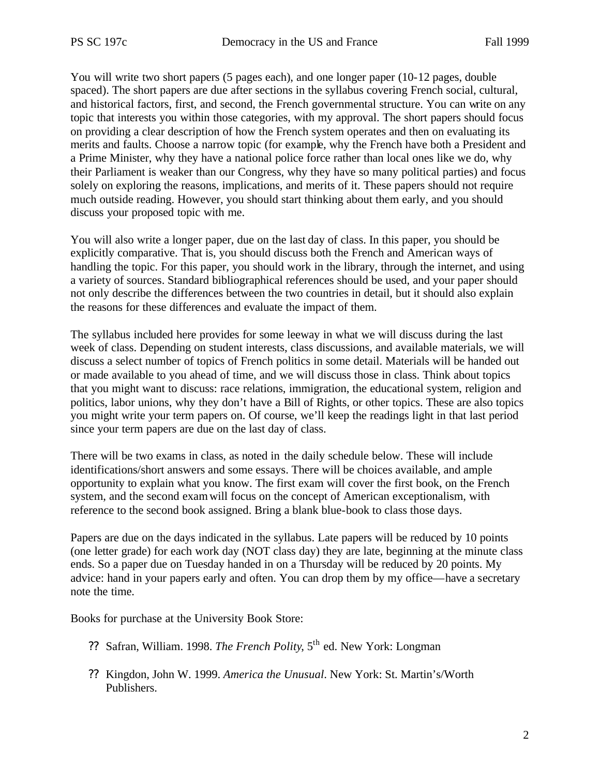You will write two short papers (5 pages each), and one longer paper (10-12 pages, double spaced). The short papers are due after sections in the syllabus covering French social, cultural, and historical factors, first, and second, the French governmental structure. You can write on any topic that interests you within those categories, with my approval. The short papers should focus on providing a clear description of how the French system operates and then on evaluating its merits and faults. Choose a narrow topic (for example, why the French have both a President and a Prime Minister, why they have a national police force rather than local ones like we do, why their Parliament is weaker than our Congress, why they have so many political parties) and focus solely on exploring the reasons, implications, and merits of it. These papers should not require much outside reading. However, you should start thinking about them early, and you should discuss your proposed topic with me.

You will also write a longer paper, due on the last day of class. In this paper, you should be explicitly comparative. That is, you should discuss both the French and American ways of handling the topic. For this paper, you should work in the library, through the internet, and using a variety of sources. Standard bibliographical references should be used, and your paper should not only describe the differences between the two countries in detail, but it should also explain the reasons for these differences and evaluate the impact of them.

The syllabus included here provides for some leeway in what we will discuss during the last week of class. Depending on student interests, class discussions, and available materials, we will discuss a select number of topics of French politics in some detail. Materials will be handed out or made available to you ahead of time, and we will discuss those in class. Think about topics that you might want to discuss: race relations, immigration, the educational system, religion and politics, labor unions, why they don't have a Bill of Rights, or other topics. These are also topics you might write your term papers on. Of course, we'll keep the readings light in that last period since your term papers are due on the last day of class.

There will be two exams in class, as noted in the daily schedule below. These will include identifications/short answers and some essays. There will be choices available, and ample opportunity to explain what you know. The first exam will cover the first book, on the French system, and the second exam will focus on the concept of American exceptionalism, with reference to the second book assigned. Bring a blank blue-book to class those days.

Papers are due on the days indicated in the syllabus. Late papers will be reduced by 10 points (one letter grade) for each work day (NOT class day) they are late, beginning at the minute class ends. So a paper due on Tuesday handed in on a Thursday will be reduced by 20 points. My advice: hand in your papers early and often. You can drop them by my office—have a secretary note the time.

Books for purchase at the University Book Store:

- ?? Safran, William. 1998. *The French Polity*, 5th ed. New York: Longman
- ?? Kingdon, John W. 1999. *America the Unusual*. New York: St. Martin's/Worth Publishers.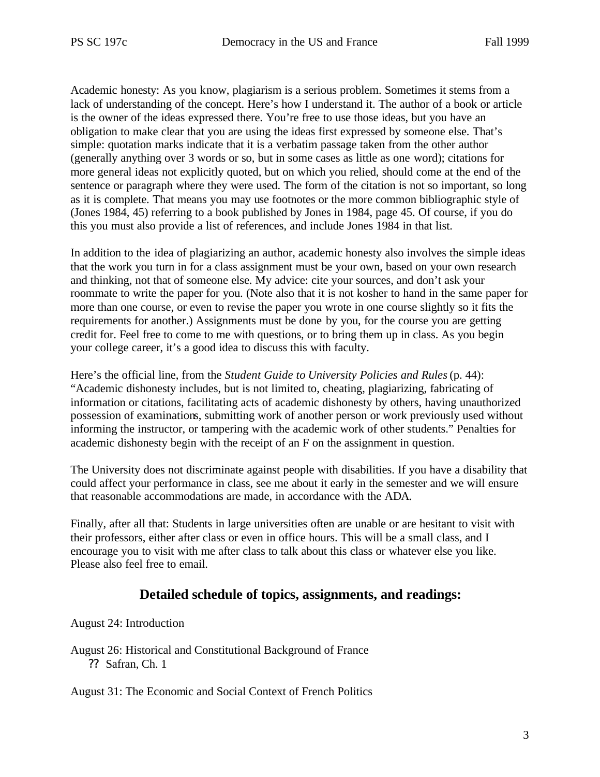Academic honesty: As you know, plagiarism is a serious problem. Sometimes it stems from a lack of understanding of the concept. Here's how I understand it. The author of a book or article is the owner of the ideas expressed there. You're free to use those ideas, but you have an obligation to make clear that you are using the ideas first expressed by someone else. That's simple: quotation marks indicate that it is a verbatim passage taken from the other author (generally anything over 3 words or so, but in some cases as little as one word); citations for more general ideas not explicitly quoted, but on which you relied, should come at the end of the sentence or paragraph where they were used. The form of the citation is not so important, so long as it is complete. That means you may use footnotes or the more common bibliographic style of (Jones 1984, 45) referring to a book published by Jones in 1984, page 45. Of course, if you do this you must also provide a list of references, and include Jones 1984 in that list.

In addition to the idea of plagiarizing an author, academic honesty also involves the simple ideas that the work you turn in for a class assignment must be your own, based on your own research and thinking, not that of someone else. My advice: cite your sources, and don't ask your roommate to write the paper for you. (Note also that it is not kosher to hand in the same paper for more than one course, or even to revise the paper you wrote in one course slightly so it fits the requirements for another.) Assignments must be done by you, for the course you are getting credit for. Feel free to come to me with questions, or to bring them up in class. As you begin your college career, it's a good idea to discuss this with faculty.

Here's the official line, from the *Student Guide to University Policies and Rules* (p. 44): "Academic dishonesty includes, but is not limited to, cheating, plagiarizing, fabricating of information or citations, facilitating acts of academic dishonesty by others, having unauthorized possession of examinations, submitting work of another person or work previously used without informing the instructor, or tampering with the academic work of other students." Penalties for academic dishonesty begin with the receipt of an F on the assignment in question.

The University does not discriminate against people with disabilities. If you have a disability that could affect your performance in class, see me about it early in the semester and we will ensure that reasonable accommodations are made, in accordance with the ADA.

Finally, after all that: Students in large universities often are unable or are hesitant to visit with their professors, either after class or even in office hours. This will be a small class, and I encourage you to visit with me after class to talk about this class or whatever else you like. Please also feel free to email.

## **Detailed schedule of topics, assignments, and readings:**

August 24: Introduction

August 26: Historical and Constitutional Background of France ?? Safran, Ch. 1

August 31: The Economic and Social Context of French Politics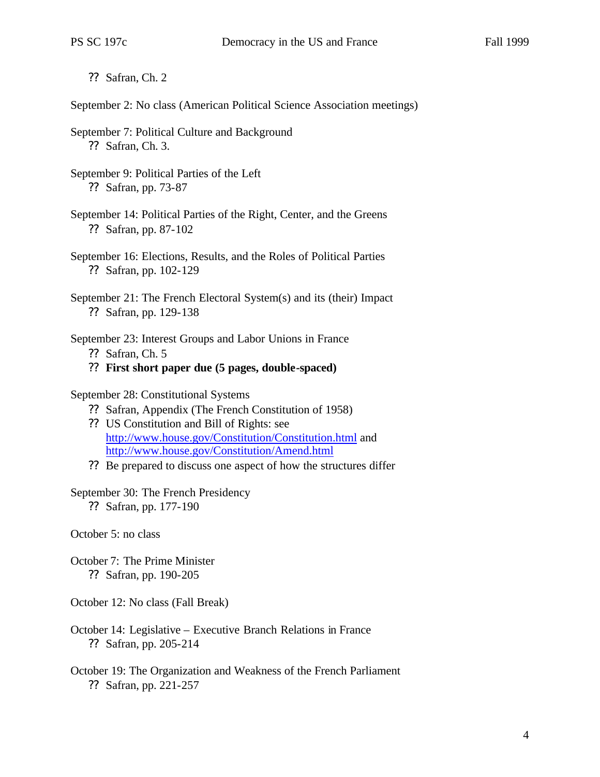?? Safran, Ch. 2

September 2: No class (American Political Science Association meetings)

- September 7: Political Culture and Background ?? Safran, Ch. 3.
- September 9: Political Parties of the Left ?? Safran, pp. 73-87
- September 14: Political Parties of the Right, Center, and the Greens ?? Safran, pp. 87-102
- September 16: Elections, Results, and the Roles of Political Parties ?? Safran, pp. 102-129
- September 21: The French Electoral System(s) and its (their) Impact ?? Safran, pp. 129-138
- September 23: Interest Groups and Labor Unions in France
	- ?? Safran, Ch. 5
	- ?? **First short paper due (5 pages, double-spaced)**
- September 28: Constitutional Systems
	- ?? Safran, Appendix (The French Constitution of 1958)
	- ?? US Constitution and Bill of Rights: see http://www.house.gov/Constitution/Constitution.html and http://www.house.gov/Constitution/Amend.html
	- ?? Be prepared to discuss one aspect of how the structures differ

## September 30: The French Presidency

?? Safran, pp. 177-190

October 5: no class

- October 7: The Prime Minister ?? Safran, pp. 190-205
- October 12: No class (Fall Break)
- October 14: Legislative Executive Branch Relations in France ?? Safran, pp. 205-214
- October 19: The Organization and Weakness of the French Parliament ?? Safran, pp. 221-257